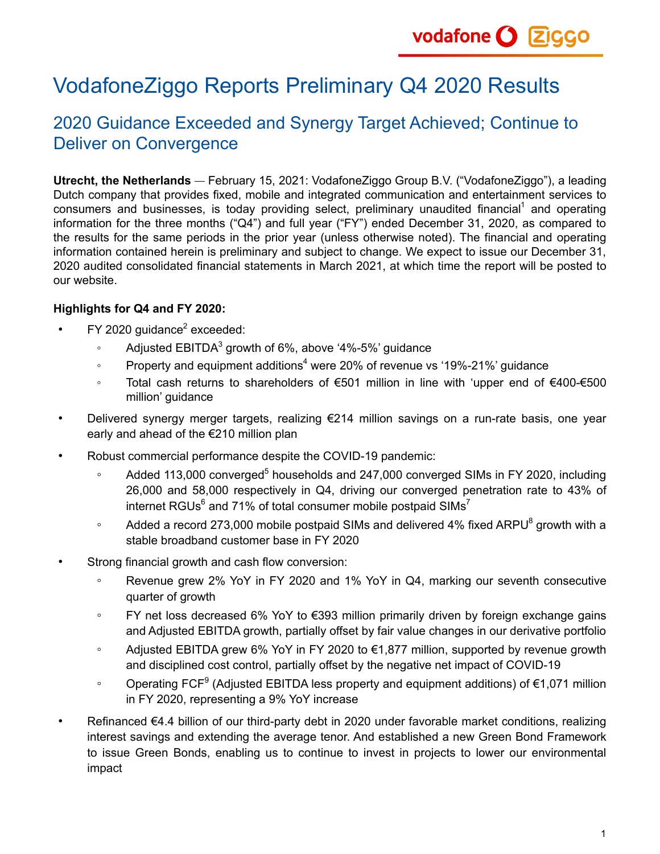# VodafoneZiggo Reports Preliminary Q4 2020 Results

# 2020 Guidance Exceeded and Synergy Target Achieved; Continue to Deliver on Convergence

**Utrecht, the Netherlands** February 15, 2021: VodafoneZiggo Group B.V. ("VodafoneZiggo"), a leading Dutch company that provides fixed, mobile and integrated communication and entertainment services to consumers and businesses, is today providing select, preliminary unaudited financial<sup>1</sup> and operating information for the three months ("Q4") and full year ("FY") ended December 31, 2020, as compared to the results for the same periods in the prior year (unless otherwise noted). The financial and operating information contained herein is preliminary and subject to change. We expect to issue our December 31, 2020 audited consolidated financial statements in March 2021, at which time the report will be posted to our website.

### **Highlights for Q4 and FY 2020:**

- FY 2020 guidance<sup>2</sup> exceeded:
	- $\,^{\circ}$  Adjusted EBITDA $^3$  growth of 6%, above '4%-5%' guidance
	- $\degree$  Property and equipment additions<sup>4</sup> were 20% of revenue vs '19%-21%' guidance
	- Total cash returns to shareholders of €501 million in line with 'upper end of €400-€500 million' guidance
- Delivered synergy merger targets, realizing €214 million savings on a run-rate basis, one year early and ahead of the €210 million plan
- Robust commercial performance despite the COVID-19 pandemic:
	- ∘ Added 113,000 converged<sup>5</sup> households and 247,000 converged SIMs in FY 2020, including 26,000 and 58,000 respectively in Q4, driving our converged penetration rate to 43% of internet RGUs $^6$  and 71% of total consumer mobile postpaid SIMs $^7$
	- $\degree$  Added a record 273,000 mobile postpaid SIMs and delivered 4% fixed ARPU $^8$  growth with a stable broadband customer base in FY 2020
- Strong financial growth and cash flow conversion:
	- Revenue grew 2% YoY in FY 2020 and 1% YoY in Q4, marking our seventh consecutive quarter of growth
	- FY net loss decreased 6% YoY to €393 million primarily driven by foreign exchange gains and Adjusted EBITDA growth, partially offset by fair value changes in our derivative portfolio
	- Adjusted EBITDA grew 6% YoY in FY 2020 to €1,877 million, supported by revenue growth and disciplined cost control, partially offset by the negative net impact of COVID-19
	- ∘ Operating FCF<sup>9</sup> (Adjusted EBITDA less property and equipment additions) of €1,071 million in FY 2020, representing a 9% YoY increase
- Refinanced €4.4 billion of our third-party debt in 2020 under favorable market conditions, realizing interest savings and extending the average tenor. And established a new Green Bond Framework to issue Green Bonds, enabling us to continue to invest in projects to lower our environmental impact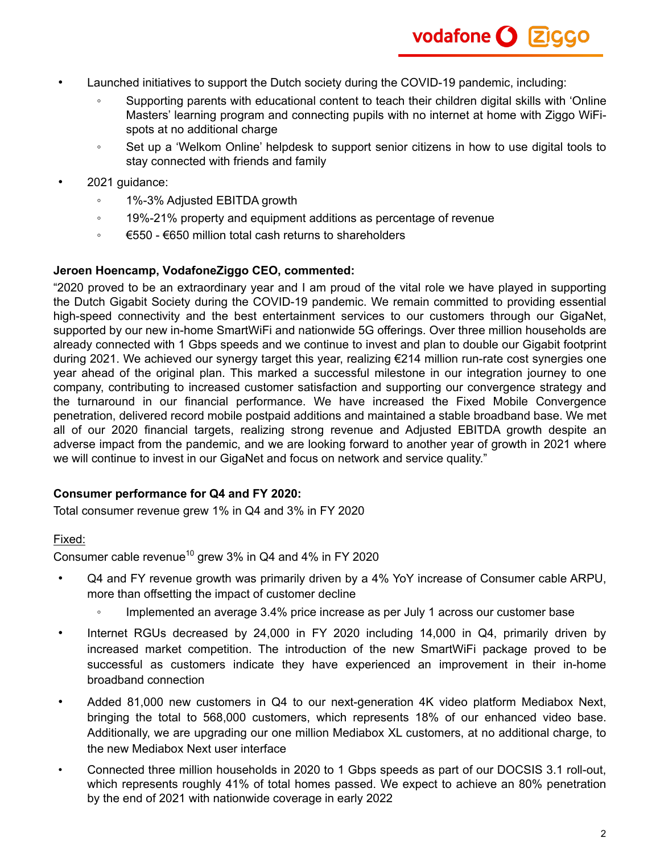- Launched initiatives to support the Dutch society during the COVID-19 pandemic, including:
	- Supporting parents with educational content to teach their children digital skills with 'Online Masters' learning program and connecting pupils with no internet at home with Ziggo WiFispots at no additional charge
	- Set up a 'Welkom Online' helpdesk to support senior citizens in how to use digital tools to stay connected with friends and family
- 2021 guidance:
	- 1%-3% Adjusted EBITDA growth
	- 19%-21% property and equipment additions as percentage of revenue
	- €550 €650 million total cash returns to shareholders

### **Jeroen Hoencamp, VodafoneZiggo CEO, commented:**

"2020 proved to be an extraordinary year and I am proud of the vital role we have played in supporting the Dutch Gigabit Society during the COVID-19 pandemic. We remain committed to providing essential high-speed connectivity and the best entertainment services to our customers through our GigaNet, supported by our new in-home SmartWiFi and nationwide 5G offerings. Over three million households are already connected with 1 Gbps speeds and we continue to invest and plan to double our Gigabit footprint during 2021. We achieved our synergy target this year, realizing €214 million run-rate cost synergies one year ahead of the original plan. This marked a successful milestone in our integration journey to one company, contributing to increased customer satisfaction and supporting our convergence strategy and the turnaround in our financial performance. We have increased the Fixed Mobile Convergence penetration, delivered record mobile postpaid additions and maintained a stable broadband base. We met all of our 2020 financial targets, realizing strong revenue and Adjusted EBITDA growth despite an adverse impact from the pandemic, and we are looking forward to another year of growth in 2021 where we will continue to invest in our GigaNet and focus on network and service quality."

### **Consumer performance for Q4 and FY 2020:**

Total consumer revenue grew 1% in Q4 and 3% in FY 2020

### Fixed:

Consumer cable revenue<sup>10</sup> grew 3% in Q4 and 4% in FY 2020

- Q4 and FY revenue growth was primarily driven by a 4% YoY increase of Consumer cable ARPU, more than offsetting the impact of customer decline
	- Implemented an average 3.4% price increase as per July 1 across our customer base
- Internet RGUs decreased by 24,000 in FY 2020 including 14,000 in Q4, primarily driven by increased market competition. The introduction of the new SmartWiFi package proved to be successful as customers indicate they have experienced an improvement in their in-home broadband connection
- Added 81,000 new customers in Q4 to our next-generation 4K video platform Mediabox Next, bringing the total to 568,000 customers, which represents 18% of our enhanced video base. Additionally, we are upgrading our one million Mediabox XL customers, at no additional charge, to the new Mediabox Next user interface
- Connected three million households in 2020 to 1 Gbps speeds as part of our DOCSIS 3.1 roll-out, which represents roughly 41% of total homes passed. We expect to achieve an 80% penetration by the end of 2021 with nationwide coverage in early 2022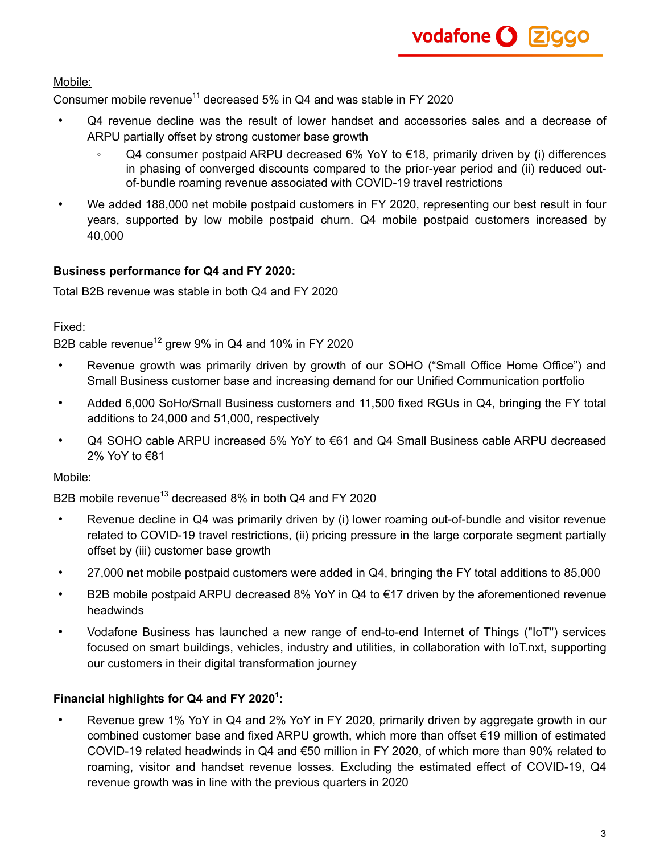Mobile:

Consumer mobile revenue<sup>11</sup> decreased 5% in Q4 and was stable in FY 2020

- Q4 revenue decline was the result of lower handset and accessories sales and a decrease of ARPU partially offset by strong customer base growth
	- Q4 consumer postpaid ARPU decreased 6% YoY to €18, primarily driven by (i) differences in phasing of converged discounts compared to the prior-year period and (ii) reduced outof-bundle roaming revenue associated with COVID-19 travel restrictions
- We added 188,000 net mobile postpaid customers in FY 2020, representing our best result in four years, supported by low mobile postpaid churn. Q4 mobile postpaid customers increased by 40,000

### **Business performance for Q4 and FY 2020:**

Total B2B revenue was stable in both Q4 and FY 2020

### Fixed:

B2B cable revenue<sup>12</sup> grew 9% in Q4 and 10% in FY 2020

- Revenue growth was primarily driven by growth of our SOHO ("Small Office Home Office") and Small Business customer base and increasing demand for our Unified Communication portfolio
- Added 6,000 SoHo/Small Business customers and 11,500 fixed RGUs in Q4, bringing the FY total additions to 24,000 and 51,000, respectively
- Q4 SOHO cable ARPU increased 5% YoY to €61 and Q4 Small Business cable ARPU decreased 2% YoY to €81

### Mobile:

B2B mobile revenue<sup>13</sup> decreased 8% in both Q4 and FY 2020

- Revenue decline in Q4 was primarily driven by (i) lower roaming out-of-bundle and visitor revenue related to COVID-19 travel restrictions, (ii) pricing pressure in the large corporate segment partially offset by (iii) customer base growth
- 27,000 net mobile postpaid customers were added in Q4, bringing the FY total additions to 85,000
- B2B mobile postpaid ARPU decreased 8% YoY in Q4 to €17 driven by the aforementioned revenue headwinds
- Vodafone Business has launched a new range of end-to-end Internet of Things ("IoT") services focused on smart buildings, vehicles, industry and utilities, in collaboration with IoT.nxt, supporting our customers in their digital transformation journey

### **Financial highlights for Q4 and FY 2020<sup>1</sup> :**

• Revenue grew 1% YoY in Q4 and 2% YoY in FY 2020, primarily driven by aggregate growth in our combined customer base and fixed ARPU growth, which more than offset €19 million of estimated COVID-19 related headwinds in Q4 and €50 million in FY 2020, of which more than 90% related to roaming, visitor and handset revenue losses. Excluding the estimated effect of COVID-19, Q4 revenue growth was in line with the previous quarters in 2020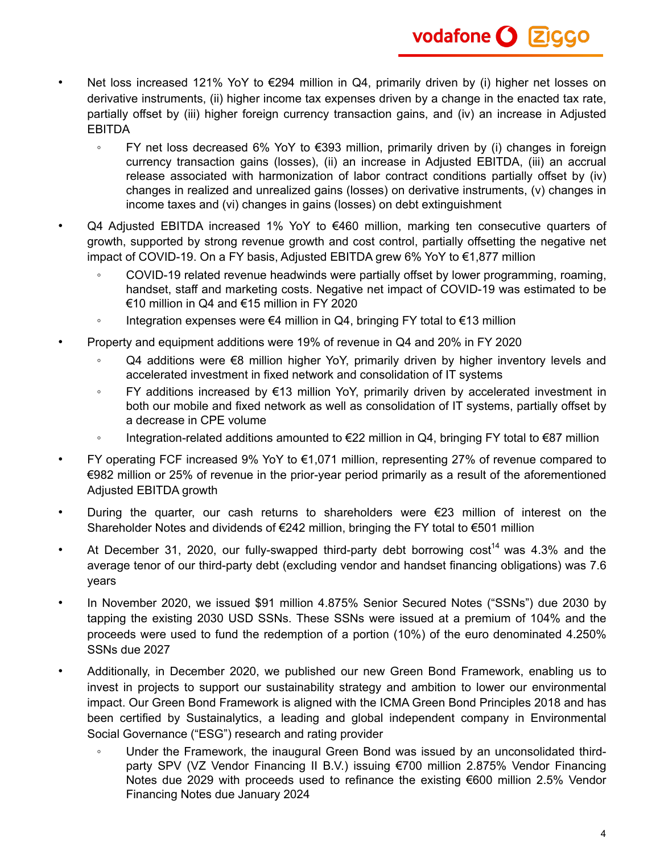- Net loss increased 121% YoY to €294 million in Q4, primarily driven by (i) higher net losses on derivative instruments, (ii) higher income tax expenses driven by a change in the enacted tax rate, partially offset by (iii) higher foreign currency transaction gains, and (iv) an increase in Adjusted EBITDA
	- FY net loss decreased 6% YoY to €393 million, primarily driven by (i) changes in foreign currency transaction gains (losses), (ii) an increase in Adjusted EBITDA, (iii) an accrual release associated with harmonization of labor contract conditions partially offset by (iv) changes in realized and unrealized gains (losses) on derivative instruments, (v) changes in income taxes and (vi) changes in gains (losses) on debt extinguishment
- Q4 Adjusted EBITDA increased 1% YoY to €460 million, marking ten consecutive quarters of growth, supported by strong revenue growth and cost control, partially offsetting the negative net impact of COVID-19. On a FY basis, Adjusted EBITDA grew 6% YoY to €1,877 million
	- COVID-19 related revenue headwinds were partially offset by lower programming, roaming, handset, staff and marketing costs. Negative net impact of COVID-19 was estimated to be €10 million in Q4 and €15 million in FY 2020
	- Integration expenses were €4 million in Q4, bringing FY total to €13 million
- Property and equipment additions were 19% of revenue in Q4 and 20% in FY 2020
	- Q4 additions were €8 million higher YoY, primarily driven by higher inventory levels and accelerated investment in fixed network and consolidation of IT systems
	- FY additions increased by €13 million YoY, primarily driven by accelerated investment in both our mobile and fixed network as well as consolidation of IT systems, partially offset by a decrease in CPE volume
	- Integration-related additions amounted to €22 million in Q4, bringing FY total to €87 million
- FY operating FCF increased 9% YoY to  $€1,071$  million, representing 27% of revenue compared to €982 million or 25% of revenue in the prior-year period primarily as a result of the aforementioned Adjusted EBITDA growth
- During the quarter, our cash returns to shareholders were  $E$ 23 million of interest on the Shareholder Notes and dividends of €242 million, bringing the FY total to €501 million
- At December 31, 2020, our fully-swapped third-party debt borrowing  $cost^{14}$  was 4.3% and the average tenor of our third-party debt (excluding vendor and handset financing obligations) was 7.6 years
- In November 2020, we issued \$91 million 4.875% Senior Secured Notes ("SSNs") due 2030 by tapping the existing 2030 USD SSNs. These SSNs were issued at a premium of 104% and the proceeds were used to fund the redemption of a portion (10%) of the euro denominated 4.250% SSNs due 2027
- Additionally, in December 2020, we published our new Green Bond Framework, enabling us to invest in projects to support our sustainability strategy and ambition to lower our environmental impact. Our Green Bond Framework is aligned with the ICMA Green Bond Principles 2018 and has been certified by Sustainalytics, a leading and global independent company in Environmental Social Governance ("ESG") research and rating provider
	- Under the Framework, the inaugural Green Bond was issued by an unconsolidated thirdparty SPV (VZ Vendor Financing II B.V.) issuing €700 million 2.875% Vendor Financing Notes due 2029 with proceeds used to refinance the existing €600 million 2.5% Vendor Financing Notes due January 2024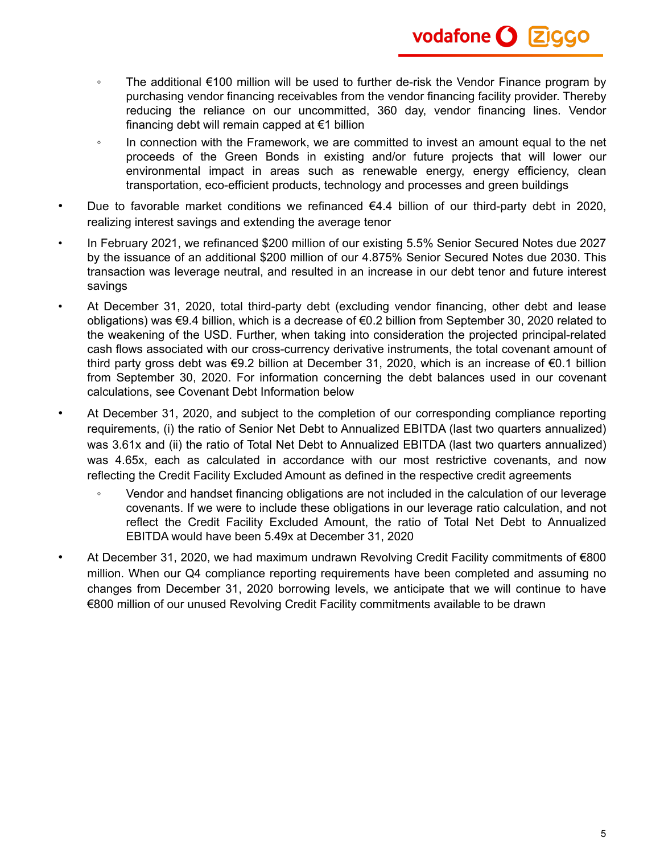

- The additional €100 million will be used to further de-risk the Vendor Finance program by purchasing vendor financing receivables from the vendor financing facility provider. Thereby reducing the reliance on our uncommitted, 360 day, vendor financing lines. Vendor financing debt will remain capped at €1 billion
- In connection with the Framework, we are committed to invest an amount equal to the net proceeds of the Green Bonds in existing and/or future projects that will lower our environmental impact in areas such as renewable energy, energy efficiency, clean transportation, eco-efficient products, technology and processes and green buildings
- Due to favorable market conditions we refinanced €4.4 billion of our third-party debt in 2020, realizing interest savings and extending the average tenor
- In February 2021, we refinanced \$200 million of our existing 5.5% Senior Secured Notes due 2027 by the issuance of an additional \$200 million of our 4.875% Senior Secured Notes due 2030. This transaction was leverage neutral, and resulted in an increase in our debt tenor and future interest savings
- At December 31, 2020, total third-party debt (excluding vendor financing, other debt and lease obligations) was €9.4 billion, which is a decrease of €0.2 billion from September 30, 2020 related to the weakening of the USD. Further, when taking into consideration the projected principal-related cash flows associated with our cross-currency derivative instruments, the total covenant amount of third party gross debt was €9.2 billion at December 31, 2020, which is an increase of €0.1 billion from September 30, 2020. For information concerning the debt balances used in our covenant calculations, see Covenant Debt Information below
- At December 31, 2020, and subject to the completion of our corresponding compliance reporting requirements, (i) the ratio of Senior Net Debt to Annualized EBITDA (last two quarters annualized) was 3.61x and (ii) the ratio of Total Net Debt to Annualized EBITDA (last two quarters annualized) was 4.65x, each as calculated in accordance with our most restrictive covenants, and now reflecting the Credit Facility Excluded Amount as defined in the respective credit agreements
	- Vendor and handset financing obligations are not included in the calculation of our leverage covenants. If we were to include these obligations in our leverage ratio calculation, and not reflect the Credit Facility Excluded Amount, the ratio of Total Net Debt to Annualized EBITDA would have been 5.49x at December 31, 2020
- At December 31, 2020, we had maximum undrawn Revolving Credit Facility commitments of €800 million. When our Q4 compliance reporting requirements have been completed and assuming no changes from December 31, 2020 borrowing levels, we anticipate that we will continue to have €800 million of our unused Revolving Credit Facility commitments available to be drawn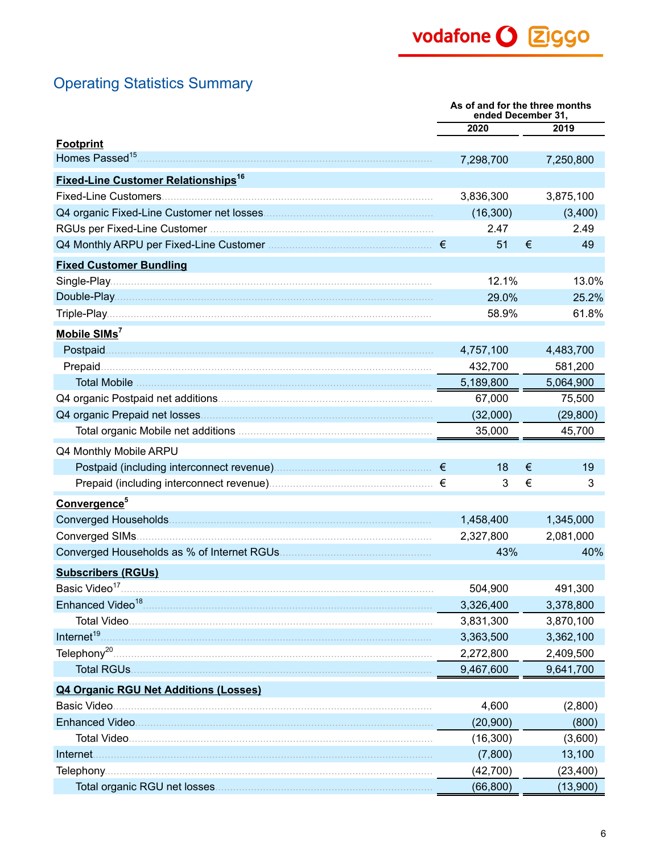# **Operating Statistics Summary**

|                                                       | As of and for the three months<br>ended December 31, |   |           |
|-------------------------------------------------------|------------------------------------------------------|---|-----------|
|                                                       | 2020                                                 |   | 2019      |
| <b>Footprint</b>                                      |                                                      |   |           |
| Homes Passed <sup>15</sup> .                          | 7,298,700                                            |   | 7,250,800 |
| <b>Fixed-Line Customer Relationships<sup>16</sup></b> |                                                      |   |           |
|                                                       | 3,836,300                                            |   | 3,875,100 |
|                                                       | (16, 300)                                            |   | (3,400)   |
|                                                       | 2.47                                                 |   | 2.49      |
|                                                       | 51                                                   | € | 49        |
| <b>Fixed Customer Bundling</b>                        |                                                      |   |           |
|                                                       | 12.1%                                                |   | 13.0%     |
|                                                       | 29.0%                                                |   | 25.2%     |
|                                                       | 58.9%                                                |   | 61.8%     |
| Mobile SIMs <sup>7</sup>                              |                                                      |   |           |
| Postpaid.                                             | 4,757,100                                            |   | 4,483,700 |
| Prepaid.                                              | 432,700                                              |   | 581,200   |
|                                                       | 5,189,800                                            |   | 5,064,900 |
|                                                       | 67,000                                               |   | 75,500    |
|                                                       | (32,000)                                             |   | (29, 800) |
|                                                       | 35,000                                               |   | 45,700    |
| Q4 Monthly Mobile ARPU                                |                                                      |   |           |
|                                                       | 18                                                   | € | 19        |
|                                                       | 3                                                    | € | 3         |
| Convergence <sup>5</sup>                              |                                                      |   |           |
|                                                       | 1,458,400                                            |   | 1,345,000 |
|                                                       | 2,327,800                                            |   | 2,081,000 |
|                                                       | 43%                                                  |   | 40%       |
| <b>Subscribers (RGUs)</b>                             |                                                      |   |           |
| Basic Video <sup>17</sup>                             | 504,900                                              |   | 491,300   |
|                                                       | 3,326,400                                            |   | 3,378,800 |
|                                                       | 3,831,300                                            |   | 3,870,100 |
| Internet <sup>19</sup>                                | 3,363,500                                            |   | 3,362,100 |
|                                                       | 2,272,800                                            |   | 2,409,500 |
|                                                       | 9,467,600                                            |   | 9,641,700 |
| <b>Q4 Organic RGU Net Additions (Losses)</b>          |                                                      |   |           |
|                                                       | 4,600                                                |   | (2,800)   |
|                                                       | (20, 900)                                            |   | (800)     |
|                                                       | (16, 300)                                            |   | (3,600)   |
|                                                       | (7,800)                                              |   | 13,100    |
|                                                       | (42,700)                                             |   | (23, 400) |
|                                                       | (66, 800)                                            |   | (13,900)  |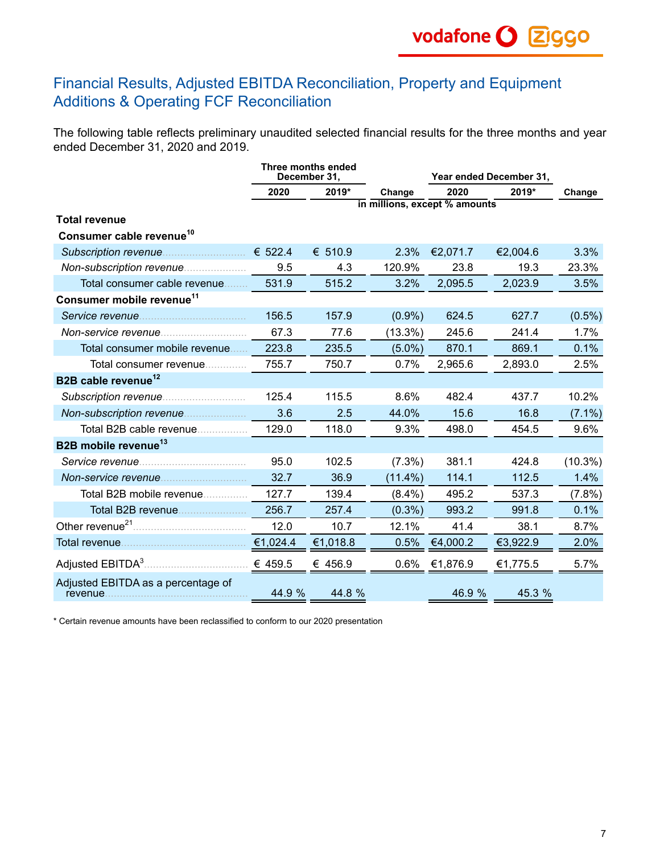# Financial Results, Adjusted EBITDA Reconciliation, Property and Equipment Additions & Operating FCF Reconciliation

The following table reflects preliminary unaudited selected financial results for the three months and year ended December 31, 2020 and 2019.

|                                       | Three months ended<br>December 31, |          |                               |          | Year ended December 31, |            |  |
|---------------------------------------|------------------------------------|----------|-------------------------------|----------|-------------------------|------------|--|
|                                       | 2020                               | 2019*    | Change                        | 2020     | 2019*                   | Change     |  |
|                                       |                                    |          | in millions, except % amounts |          |                         |            |  |
| <b>Total revenue</b>                  |                                    |          |                               |          |                         |            |  |
| Consumer cable revenue <sup>10</sup>  |                                    |          |                               |          |                         |            |  |
|                                       |                                    | € 510.9  | 2.3%                          | €2,071.7 | €2,004.6                | 3.3%       |  |
|                                       | 9.5                                | 4.3      | 120.9%                        | 23.8     | 19.3                    | 23.3%      |  |
| Total consumer cable revenue          | 531.9                              | 515.2    | 3.2%                          | 2,095.5  | 2,023.9                 | 3.5%       |  |
| Consumer mobile revenue <sup>11</sup> |                                    |          |                               |          |                         |            |  |
|                                       | 156.5                              | 157.9    | $(0.9\%)$                     | 624.5    | 627.7                   | $(0.5\%)$  |  |
|                                       | 67.3                               | 77.6     | $(13.3\%)$                    | 245.6    | 241.4                   | 1.7%       |  |
| Total consumer mobile revenue         | 223.8                              | 235.5    | $(5.0\%)$                     | 870.1    | 869.1                   | 0.1%       |  |
| Total consumer revenue                | 755.7                              | 750.7    | 0.7%                          | 2,965.6  | 2,893.0                 | 2.5%       |  |
| B2B cable revenue <sup>12</sup>       |                                    |          |                               |          |                         |            |  |
|                                       | 125.4                              | 115.5    | 8.6%                          | 482.4    | 437.7                   | 10.2%      |  |
|                                       | 3.6                                | 2.5      | 44.0%                         | 15.6     | 16.8                    | $(7.1\%)$  |  |
| Total B2B cable revenue               | 129.0                              | 118.0    | 9.3%                          | 498.0    | 454.5                   | 9.6%       |  |
| B2B mobile revenue <sup>13</sup>      |                                    |          |                               |          |                         |            |  |
|                                       | 95.0                               | 102.5    | $(7.3\%)$                     | 381.1    | 424.8                   | $(10.3\%)$ |  |
|                                       | 32.7                               | 36.9     | $(11.4\%)$                    | 114.1    | 112.5                   | 1.4%       |  |
| Total B2B mobile revenue              | 127.7                              | 139.4    | $(8.4\%)$                     | 495.2    | 537.3                   | $(7.8\%)$  |  |
|                                       | 256.7                              | 257.4    | $(0.3\%)$                     | 993.2    | 991.8                   | 0.1%       |  |
|                                       | 12.0                               | 10.7     | 12.1%                         | 41.4     | 38.1                    | 8.7%       |  |
|                                       | €1,024.4                           | €1,018.8 | 0.5%                          | €4,000.2 | €3,922.9                | 2.0%       |  |
| Adjusted EBITDA <sup>3</sup>          | € 459.5                            | € 456.9  | 0.6%                          | €1,876.9 | €1,775.5                | 5.7%       |  |
| Adjusted EBITDA as a percentage of    | 44.9 %                             | 44.8 %   |                               | 46.9 %   | 45.3 %                  |            |  |

\* Certain revenue amounts have been reclassified to conform to our 2020 presentation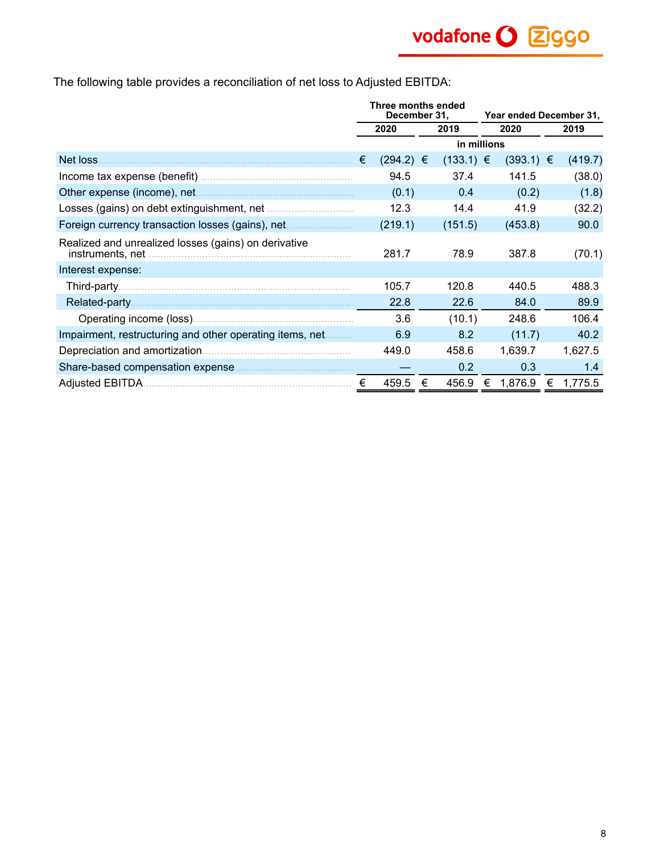The following table provides a reconciliation of net loss to Adjusted EBITDA:

|                                                                          | Three months ended<br>December 31, |               |   | Year ended December 31, |   |               |   |         |
|--------------------------------------------------------------------------|------------------------------------|---------------|---|-------------------------|---|---------------|---|---------|
|                                                                          |                                    | 2020          |   | 2019                    |   | 2020          |   | 2019    |
|                                                                          |                                    |               |   | in millions             |   |               |   |         |
| Net loss.                                                                | €                                  | $(294.2) \in$ |   | $(133.1) \in$           |   | $(393.1) \in$ |   | (419.7) |
|                                                                          |                                    | 94.5          |   | 37.4                    |   | 141.5         |   | (38.0)  |
| Other expense (income), net                                              |                                    | (0.1)         |   | 0.4                     |   | (0.2)         |   | (1.8)   |
|                                                                          |                                    | 12.3          |   | 14.4                    |   | 41.9          |   | (32.2)  |
| Foreign currency transaction losses (gains), net                         |                                    | (219.1)       |   | (151.5)                 |   | (453.8)       |   | 90.0    |
| Realized and unrealized losses (gains) on derivative<br>instruments, net |                                    | 281.7         |   | 78.9                    |   | 387.8         |   | (70.1)  |
| Interest expense:                                                        |                                    |               |   |                         |   |               |   |         |
| Third-party                                                              |                                    | 105.7         |   | 120.8                   |   | 440.5         |   | 488.3   |
| Related-party                                                            |                                    | 22.8          |   | 22.6                    |   | 84.0          |   | 89.9    |
|                                                                          |                                    | 3.6           |   | (10.1)                  |   | 248.6         |   | 106.4   |
| Impairment, restructuring and other operating items, net                 |                                    | 6.9           |   | 8.2                     |   | (11.7)        |   | 40.2    |
|                                                                          |                                    | 449.0         |   | 458.6                   |   | 1,639.7       |   | 1,627.5 |
|                                                                          |                                    |               |   | 0.2                     |   | 0.3           |   | 1.4     |
|                                                                          | €                                  | 459.5         | € | 456.9                   | € | 1,876.9       | € | 1,775.5 |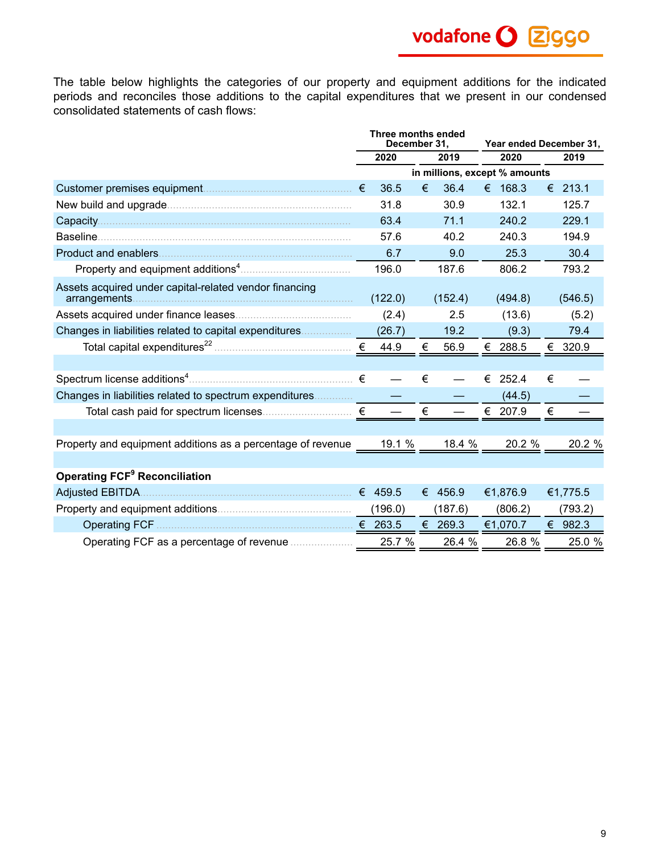vodafone O 2GGO

The table below highlights the categories of our property and equipment additions for the indicated periods and reconciles those additions to the capital expenditures that we present in our condensed consolidated statements of cash flows:

|                                                                    | Three months ended<br>December 31. |         |   | Year ended December 31, |                               |          |   |          |
|--------------------------------------------------------------------|------------------------------------|---------|---|-------------------------|-------------------------------|----------|---|----------|
|                                                                    | 2020<br>2019                       |         |   | 2020                    |                               | 2019     |   |          |
|                                                                    |                                    |         |   |                         | in millions, except % amounts |          |   |          |
|                                                                    |                                    | 36.5    | € | 36.4                    |                               | € 168.3  | € | 213.1    |
|                                                                    |                                    | 31.8    |   | 30.9                    |                               | 132.1    |   | 125.7    |
| Capacity                                                           |                                    | 63.4    |   | 71.1                    |                               | 240.2    |   | 229.1    |
|                                                                    |                                    | 57.6    |   | 40.2                    |                               | 240.3    |   | 194.9    |
|                                                                    |                                    | 6.7     |   | 9.0                     |                               | 25.3     |   | 30.4     |
|                                                                    |                                    | 196.0   |   | 187.6                   |                               | 806.2    |   | 793.2    |
| Assets acquired under capital-related vendor financing             |                                    | (122.0) |   | (152.4)                 |                               | (494.8)  |   | (546.5)  |
|                                                                    |                                    | (2.4)   |   | 2.5                     |                               | (13.6)   |   | (5.2)    |
| Changes in liabilities related to capital expenditures             |                                    | (26.7)  |   | 19.2                    |                               | (9.3)    |   | 79.4     |
|                                                                    |                                    | 44.9    | € | 56.9                    |                               | € 288.5  | € | 320.9    |
|                                                                    |                                    |         |   |                         |                               |          |   |          |
|                                                                    |                                    |         | € |                         | €                             | 252.4    | € |          |
| Changes in liabilities related to spectrum expenditures            |                                    |         |   |                         |                               | (44.5)   |   |          |
|                                                                    |                                    |         | € |                         |                               | € 207.9  | € |          |
|                                                                    |                                    |         |   |                         |                               |          |   |          |
| Property and equipment additions as a percentage of revenue 19.1 % |                                    |         |   | 18.4 %                  |                               | 20.2 %   |   | 20.2 %   |
|                                                                    |                                    |         |   |                         |                               |          |   |          |
| <b>Operating FCF<sup>9</sup> Reconciliation</b>                    |                                    |         |   |                         |                               |          |   |          |
|                                                                    |                                    |         |   | € 456.9                 |                               | €1,876.9 |   | €1,775.5 |
|                                                                    |                                    | (196.0) |   | (187.6)                 |                               | (806.2)  |   | (793.2)  |
|                                                                    |                                    |         |   | € 269.3                 |                               | €1,070.7 |   | € 982.3  |
|                                                                    |                                    | 25.7 %  |   | 26.4 %                  |                               | 26.8 %   |   | 25.0 %   |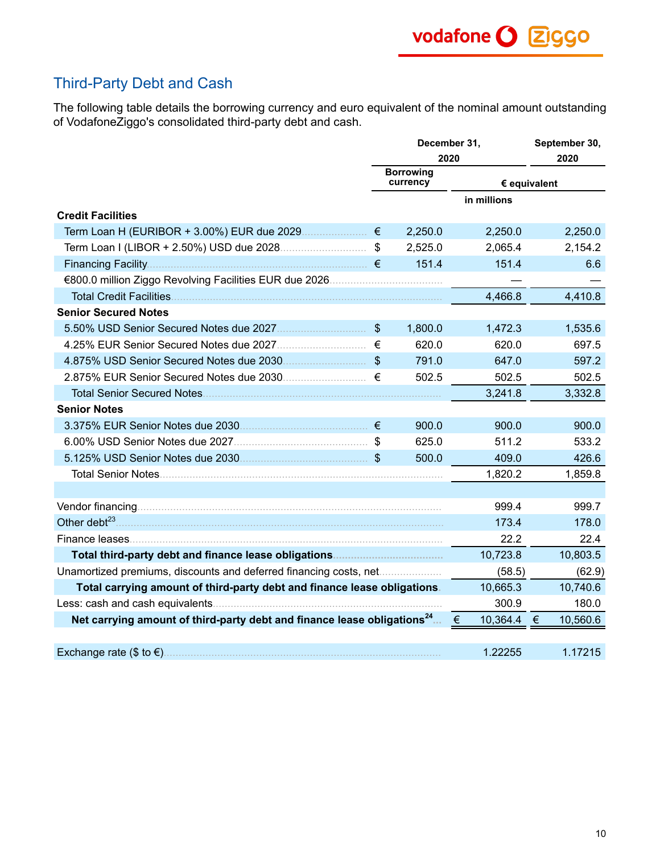# Third-Party Debt and Cash

The following table details the borrowing currency and euro equivalent of the nominal amount outstanding of VodafoneZiggo's consolidated third-party debt and cash.

|                                                                                     |                | December 31,                 | September 30,   |              |  |
|-------------------------------------------------------------------------------------|----------------|------------------------------|-----------------|--------------|--|
|                                                                                     |                | 2020                         | 2020            |              |  |
|                                                                                     |                | <b>Borrowing</b><br>currency |                 | € equivalent |  |
|                                                                                     |                |                              | in millions     |              |  |
| <b>Credit Facilities</b>                                                            |                |                              |                 |              |  |
|                                                                                     |                | 2,250.0                      | 2,250.0         | 2,250.0      |  |
|                                                                                     |                | 2,525.0                      | 2,065.4         | 2,154.2      |  |
|                                                                                     |                | 151.4                        | 151.4           | 6.6          |  |
|                                                                                     |                |                              |                 |              |  |
|                                                                                     |                |                              | 4,466.8         | 4,410.8      |  |
| <b>Senior Secured Notes</b>                                                         |                |                              |                 |              |  |
|                                                                                     | $\mathfrak{S}$ | 1,800.0                      | 1,472.3         | 1,535.6      |  |
|                                                                                     | €              | 620.0                        | 620.0           | 697.5        |  |
|                                                                                     |                | 791.0                        | 647.0           | 597.2        |  |
|                                                                                     | €              | 502.5                        | 502.5           | 502.5        |  |
|                                                                                     |                |                              | 3,241.8         | 3,332.8      |  |
| <b>Senior Notes</b>                                                                 |                |                              |                 |              |  |
|                                                                                     |                | 900.0                        | 900.0           | 900.0        |  |
|                                                                                     |                | 625.0                        | 511.2           | 533.2        |  |
|                                                                                     |                | 500.0                        | 409.0           | 426.6        |  |
|                                                                                     |                |                              | 1,820.2         | 1,859.8      |  |
|                                                                                     |                |                              |                 |              |  |
|                                                                                     |                |                              | 999.4           | 999.7        |  |
|                                                                                     |                |                              | 173.4           | 178.0        |  |
|                                                                                     |                |                              | 22.2            | 22.4         |  |
|                                                                                     |                |                              | 10,723.8        | 10,803.5     |  |
| Unamortized premiums, discounts and deferred financing costs, net                   |                |                              | (58.5)          | (62.9)       |  |
| Total carrying amount of third-party debt and finance lease obligations.            |                |                              | 10,665.3        | 10,740.6     |  |
|                                                                                     |                |                              | 300.9           | 180.0        |  |
| Net carrying amount of third-party debt and finance lease obligations <sup>24</sup> |                |                              | 10,364.4 €<br>€ | 10,560.6     |  |
|                                                                                     |                |                              |                 |              |  |
| Exchange rate $(\$$ to $€)$ .                                                       |                |                              | 1.22255         | 1.17215      |  |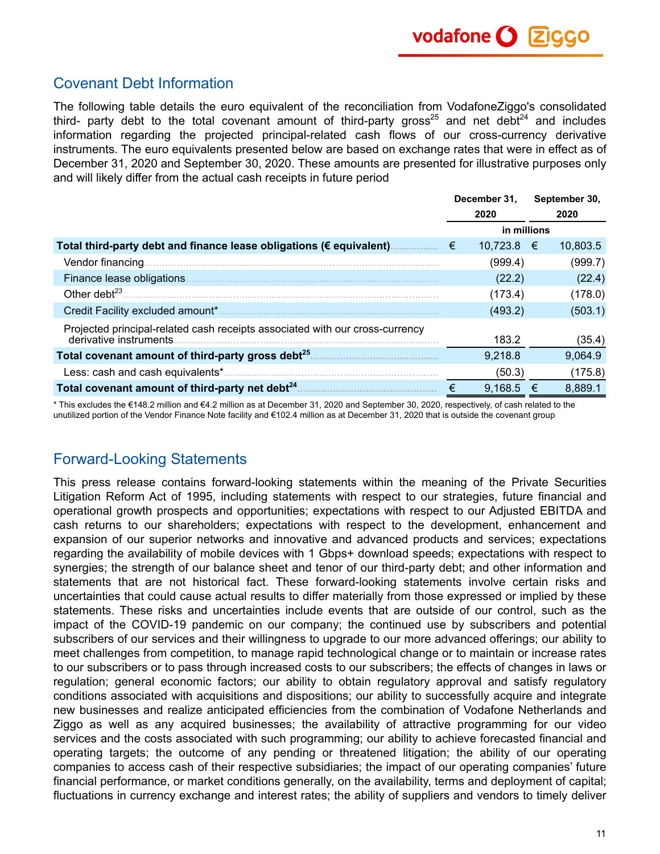## Covenant Debt Information

The following table details the euro equivalent of the reconciliation from VodafoneZiggo's consolidated third- party debt to the total covenant amount of third-party gross<sup>25</sup> and net debt<sup>24</sup> and includes information regarding the projected principal-related cash flows of our cross-currency derivative instruments. The euro equivalents presented below are based on exchange rates that were in effect as of December 31, 2020 and September 30, 2020. These amounts are presented for illustrative purposes only and will likely differ from the actual cash receipts in future period

|                                                                              | December 31. |              | September 30, |          |  |
|------------------------------------------------------------------------------|--------------|--------------|---------------|----------|--|
|                                                                              |              | 2020         |               | 2020     |  |
|                                                                              |              | in millions  |               |          |  |
| Total third-party debt and finance lease obligations (€ equivalent).         | €            | $10,723.8$ € |               | 10,803.5 |  |
| Vendor financing.                                                            |              | (999.4)      |               | (999.7)  |  |
| Finance lease obligations.                                                   |              | (22.2)       |               | (22.4)   |  |
| Other debt $^{23}$                                                           |              | (173.4)      |               | (178.0)  |  |
| Credit Facility excluded amount*                                             |              | (493.2)      |               | (503.1)  |  |
| Projected principal-related cash receipts associated with our cross-currency |              |              |               |          |  |
| derivative instruments.                                                      |              | 183.2        |               | (35.4)   |  |
| Total covenant amount of third-party gross debt <sup>25</sup> .              |              | 9.218.8      |               | 9.064.9  |  |
|                                                                              |              | (50.3)       |               | (175.8)  |  |
| Total covenant amount of third-party net debt <sup>24</sup> .                |              | 9,168.5      |               | 8,889.1  |  |

\* This excludes the €148.2 million and €4.2 million as at December 31, 2020 and September 30, 2020, respectively, of cash related to the unutilized portion of the Vendor Finance Note facility and €102.4 million as at December 31, 2020 that is outside the covenant group

# Forward-Looking Statements

This press release contains forward-looking statements within the meaning of the Private Securities Litigation Reform Act of 1995, including statements with respect to our strategies, future financial and operational growth prospects and opportunities; expectations with respect to our Adjusted EBITDA and cash returns to our shareholders; expectations with respect to the development, enhancement and expansion of our superior networks and innovative and advanced products and services; expectations regarding the availability of mobile devices with 1 Gbps+ download speeds; expectations with respect to synergies; the strength of our balance sheet and tenor of our third-party debt; and other information and statements that are not historical fact. These forward-looking statements involve certain risks and uncertainties that could cause actual results to differ materially from those expressed or implied by these statements. These risks and uncertainties include events that are outside of our control, such as the impact of the COVID-19 pandemic on our company; the continued use by subscribers and potential subscribers of our services and their willingness to upgrade to our more advanced offerings; our ability to meet challenges from competition, to manage rapid technological change or to maintain or increase rates to our subscribers or to pass through increased costs to our subscribers; the effects of changes in laws or regulation; general economic factors; our ability to obtain regulatory approval and satisfy regulatory conditions associated with acquisitions and dispositions; our ability to successfully acquire and integrate new businesses and realize anticipated efficiencies from the combination of Vodafone Netherlands and Ziggo as well as any acquired businesses; the availability of attractive programming for our video services and the costs associated with such programming; our ability to achieve forecasted financial and operating targets; the outcome of any pending or threatened litigation; the ability of our operating companies to access cash of their respective subsidiaries; the impact of our operating companies' future financial performance, or market conditions generally, on the availability, terms and deployment of capital; fluctuations in currency exchange and interest rates; the ability of suppliers and vendors to timely deliver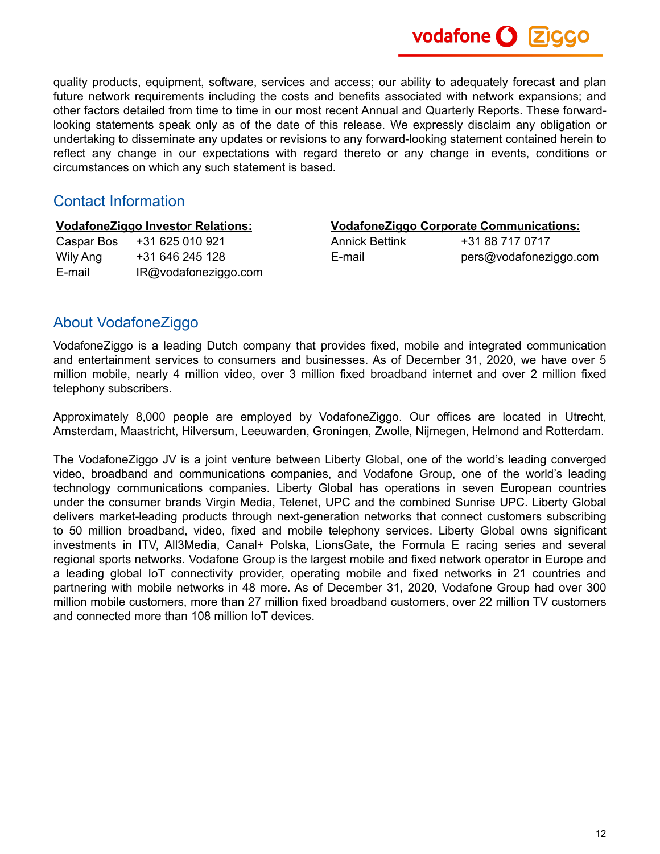quality products, equipment, software, services and access; our ability to adequately forecast and plan future network requirements including the costs and benefits associated with network expansions; and other factors detailed from time to time in our most recent Annual and Quarterly Reports. These forwardlooking statements speak only as of the date of this release. We expressly disclaim any obligation or undertaking to disseminate any updates or revisions to any forward-looking statement contained herein to reflect any change in our expectations with regard thereto or any change in events, conditions or circumstances on which any such statement is based.

### Contact Information

|            | <b>VodafoneZiggo Investor Relations:</b> |                       | <b>VodafoneZiggo Corporate Communications:</b> |  |  |  |  |  |  |
|------------|------------------------------------------|-----------------------|------------------------------------------------|--|--|--|--|--|--|
| Caspar Bos | +31 625 010 921                          | <b>Annick Bettink</b> | +31 88 717 0717                                |  |  |  |  |  |  |
| Wily Ang   | +31 646 245 128                          | E-mail                | pers@vodafoneziggo.com                         |  |  |  |  |  |  |
| E-mail     | IR@vodafoneziggo.com                     |                       |                                                |  |  |  |  |  |  |
|            |                                          |                       |                                                |  |  |  |  |  |  |

## About VodafoneZiggo

VodafoneZiggo is a leading Dutch company that provides fixed, mobile and integrated communication and entertainment services to consumers and businesses. As of December 31, 2020, we have over 5 million mobile, nearly 4 million video, over 3 million fixed broadband internet and over 2 million fixed telephony subscribers.

Approximately 8,000 people are employed by VodafoneZiggo. Our offices are located in Utrecht, Amsterdam, Maastricht, Hilversum, Leeuwarden, Groningen, Zwolle, Nijmegen, Helmond and Rotterdam.

The VodafoneZiggo JV is a joint venture between Liberty Global, one of the world's leading converged video, broadband and communications companies, and Vodafone Group, one of the world's leading technology communications companies. Liberty Global has operations in seven European countries under the consumer brands Virgin Media, Telenet, UPC and the combined Sunrise UPC. Liberty Global delivers market-leading products through next-generation networks that connect customers subscribing to 50 million broadband, video, fixed and mobile telephony services. Liberty Global owns significant investments in ITV, All3Media, Canal+ Polska, LionsGate, the Formula E racing series and several regional sports networks. Vodafone Group is the largest mobile and fixed network operator in Europe and a leading global IoT connectivity provider, operating mobile and fixed networks in 21 countries and partnering with mobile networks in 48 more. As of December 31, 2020, Vodafone Group had over 300 million mobile customers, more than 27 million fixed broadband customers, over 22 million TV customers and connected more than 108 million IoT devices.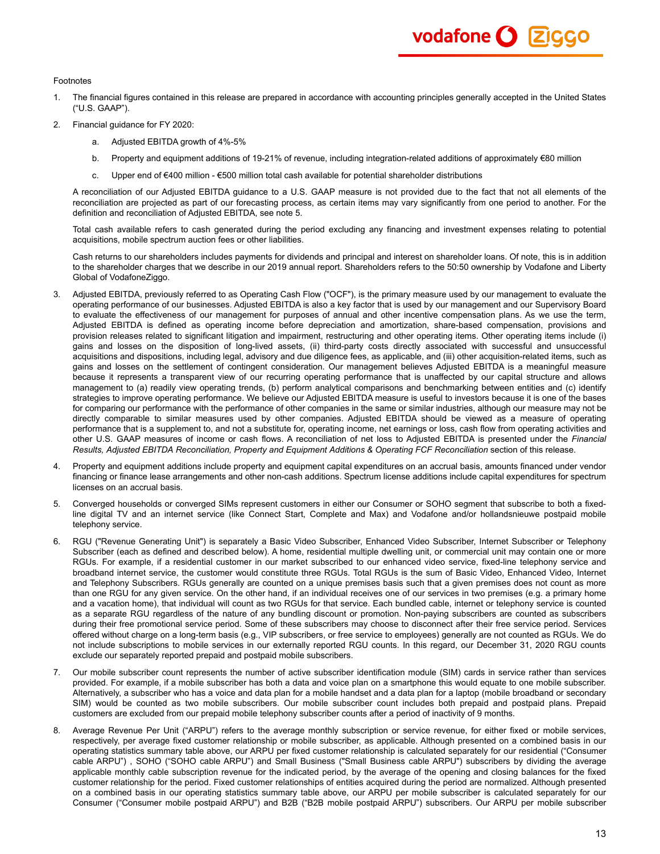#### Footnotes

- 1. The financial figures contained in this release are prepared in accordance with accounting principles generally accepted in the United States ("U.S. GAAP").
- 2. Financial guidance for FY 2020:
	- a. Adjusted EBITDA growth of 4%-5%
	- b. Property and equipment additions of 19-21% of revenue, including integration-related additions of approximately €80 million
	- c. Upper end of €400 million €500 million total cash available for potential shareholder distributions

A reconciliation of our Adjusted EBITDA guidance to a U.S. GAAP measure is not provided due to the fact that not all elements of the reconciliation are projected as part of our forecasting process, as certain items may vary significantly from one period to another. For the definition and reconciliation of Adjusted EBITDA, see note 5.

Total cash available refers to cash generated during the period excluding any financing and investment expenses relating to potential acquisitions, mobile spectrum auction fees or other liabilities.

Cash returns to our shareholders includes payments for dividends and principal and interest on shareholder loans. Of note, this is in addition to the shareholder charges that we describe in our 2019 annual report. Shareholders refers to the 50:50 ownership by Vodafone and Liberty Global of VodafoneZiggo.

- 3. Adjusted EBITDA, previously referred to as Operating Cash Flow ("OCF"), is the primary measure used by our management to evaluate the operating performance of our businesses. Adjusted EBITDA is also a key factor that is used by our management and our Supervisory Board to evaluate the effectiveness of our management for purposes of annual and other incentive compensation plans. As we use the term, Adjusted EBITDA is defined as operating income before depreciation and amortization, share-based compensation, provisions and provision releases related to significant litigation and impairment, restructuring and other operating items. Other operating items include (i) gains and losses on the disposition of long-lived assets, (ii) third-party costs directly associated with successful and unsuccessful acquisitions and dispositions, including legal, advisory and due diligence fees, as applicable, and (iii) other acquisition-related items, such as gains and losses on the settlement of contingent consideration. Our management believes Adjusted EBITDA is a meaningful measure because it represents a transparent view of our recurring operating performance that is unaffected by our capital structure and allows management to (a) readily view operating trends, (b) perform analytical comparisons and benchmarking between entities and (c) identify strategies to improve operating performance. We believe our Adjusted EBITDA measure is useful to investors because it is one of the bases for comparing our performance with the performance of other companies in the same or similar industries, although our measure may not be directly comparable to similar measures used by other companies. Adjusted EBITDA should be viewed as a measure of operating performance that is a supplement to, and not a substitute for, operating income, net earnings or loss, cash flow from operating activities and other U.S. GAAP measures of income or cash flows. A reconciliation of net loss to Adjusted EBITDA is presented under the *Financial Results, Adjusted EBITDA Reconciliation, Property and Equipment Additions & Operating FCF Reconciliation* section of this release.
- 4. Property and equipment additions include property and equipment capital expenditures on an accrual basis, amounts financed under vendor financing or finance lease arrangements and other non-cash additions. Spectrum license additions include capital expenditures for spectrum licenses on an accrual basis.
- 5. Converged households or converged SIMs represent customers in either our Consumer or SOHO segment that subscribe to both a fixedline digital TV and an internet service (like Connect Start, Complete and Max) and Vodafone and/or hollandsnieuwe postpaid mobile telephony service.
- 6. RGU ("Revenue Generating Unit") is separately a Basic Video Subscriber, Enhanced Video Subscriber, Internet Subscriber or Telephony Subscriber (each as defined and described below). A home, residential multiple dwelling unit, or commercial unit may contain one or more RGUs. For example, if a residential customer in our market subscribed to our enhanced video service, fixed-line telephony service and broadband internet service, the customer would constitute three RGUs. Total RGUs is the sum of Basic Video, Enhanced Video, Internet and Telephony Subscribers. RGUs generally are counted on a unique premises basis such that a given premises does not count as more than one RGU for any given service. On the other hand, if an individual receives one of our services in two premises (e.g. a primary home and a vacation home), that individual will count as two RGUs for that service. Each bundled cable, internet or telephony service is counted as a separate RGU regardless of the nature of any bundling discount or promotion. Non-paying subscribers are counted as subscribers during their free promotional service period. Some of these subscribers may choose to disconnect after their free service period. Services offered without charge on a long-term basis (e.g., VIP subscribers, or free service to employees) generally are not counted as RGUs. We do not include subscriptions to mobile services in our externally reported RGU counts. In this regard, our December 31, 2020 RGU counts exclude our separately reported prepaid and postpaid mobile subscribers.
- 7. Our mobile subscriber count represents the number of active subscriber identification module (SIM) cards in service rather than services provided. For example, if a mobile subscriber has both a data and voice plan on a smartphone this would equate to one mobile subscriber. Alternatively, a subscriber who has a voice and data plan for a mobile handset and a data plan for a laptop (mobile broadband or secondary SIM) would be counted as two mobile subscribers. Our mobile subscriber count includes both prepaid and postpaid plans. Prepaid customers are excluded from our prepaid mobile telephony subscriber counts after a period of inactivity of 9 months.
- 8. Average Revenue Per Unit ("ARPU") refers to the average monthly subscription or service revenue, for either fixed or mobile services, respectively, per average fixed customer relationship or mobile subscriber, as applicable. Although presented on a combined basis in our operating statistics summary table above, our ARPU per fixed customer relationship is calculated separately for our residential ("Consumer cable ARPU") , SOHO ("SOHO cable ARPU") and Small Business ("Small Business cable ARPU") subscribers by dividing the average applicable monthly cable subscription revenue for the indicated period, by the average of the opening and closing balances for the fixed customer relationship for the period. Fixed customer relationships of entities acquired during the period are normalized. Although presented on a combined basis in our operating statistics summary table above, our ARPU per mobile subscriber is calculated separately for our Consumer ("Consumer mobile postpaid ARPU") and B2B ("B2B mobile postpaid ARPU") subscribers. Our ARPU per mobile subscriber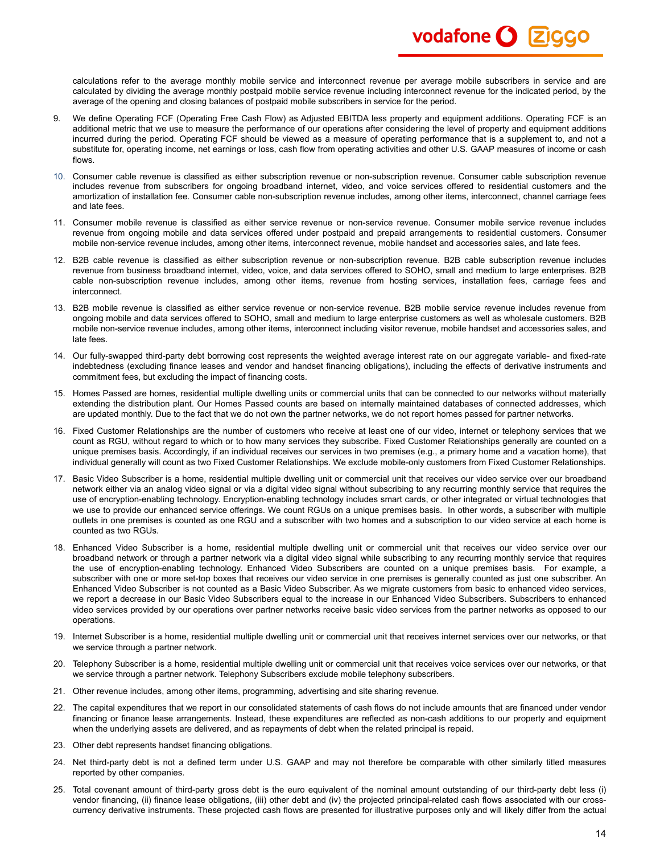calculations refer to the average monthly mobile service and interconnect revenue per average mobile subscribers in service and are calculated by dividing the average monthly postpaid mobile service revenue including interconnect revenue for the indicated period, by the average of the opening and closing balances of postpaid mobile subscribers in service for the period.

vodafone O **Z**iggo

- 9. We define Operating FCF (Operating Free Cash Flow) as Adjusted EBITDA less property and equipment additions. Operating FCF is an additional metric that we use to measure the performance of our operations after considering the level of property and equipment additions incurred during the period. Operating FCF should be viewed as a measure of operating performance that is a supplement to, and not a substitute for, operating income, net earnings or loss, cash flow from operating activities and other U.S. GAAP measures of income or cash flows.
- 10. Consumer cable revenue is classified as either subscription revenue or non-subscription revenue. Consumer cable subscription revenue includes revenue from subscribers for ongoing broadband internet, video, and voice services offered to residential customers and the amortization of installation fee. Consumer cable non-subscription revenue includes, among other items, interconnect, channel carriage fees and late fees.
- 11. Consumer mobile revenue is classified as either service revenue or non-service revenue. Consumer mobile service revenue includes revenue from ongoing mobile and data services offered under postpaid and prepaid arrangements to residential customers. Consumer mobile non-service revenue includes, among other items, interconnect revenue, mobile handset and accessories sales, and late fees.
- 12. B2B cable revenue is classified as either subscription revenue or non-subscription revenue. B2B cable subscription revenue includes revenue from business broadband internet, video, voice, and data services offered to SOHO, small and medium to large enterprises. B2B cable non-subscription revenue includes, among other items, revenue from hosting services, installation fees, carriage fees and interconnect.
- 13. B2B mobile revenue is classified as either service revenue or non-service revenue. B2B mobile service revenue includes revenue from ongoing mobile and data services offered to SOHO, small and medium to large enterprise customers as well as wholesale customers. B2B mobile non-service revenue includes, among other items, interconnect including visitor revenue, mobile handset and accessories sales, and late fees.
- 14. Our fully-swapped third-party debt borrowing cost represents the weighted average interest rate on our aggregate variable- and fixed-rate indebtedness (excluding finance leases and vendor and handset financing obligations), including the effects of derivative instruments and commitment fees, but excluding the impact of financing costs.
- 15. Homes Passed are homes, residential multiple dwelling units or commercial units that can be connected to our networks without materially extending the distribution plant. Our Homes Passed counts are based on internally maintained databases of connected addresses, which are updated monthly. Due to the fact that we do not own the partner networks, we do not report homes passed for partner networks.
- 16. Fixed Customer Relationships are the number of customers who receive at least one of our video, internet or telephony services that we count as RGU, without regard to which or to how many services they subscribe. Fixed Customer Relationships generally are counted on a unique premises basis. Accordingly, if an individual receives our services in two premises (e.g., a primary home and a vacation home), that individual generally will count as two Fixed Customer Relationships. We exclude mobile-only customers from Fixed Customer Relationships.
- 17. Basic Video Subscriber is a home, residential multiple dwelling unit or commercial unit that receives our video service over our broadband network either via an analog video signal or via a digital video signal without subscribing to any recurring monthly service that requires the use of encryption-enabling technology. Encryption-enabling technology includes smart cards, or other integrated or virtual technologies that we use to provide our enhanced service offerings. We count RGUs on a unique premises basis. In other words, a subscriber with multiple outlets in one premises is counted as one RGU and a subscriber with two homes and a subscription to our video service at each home is counted as two RGUs.
- 18. Enhanced Video Subscriber is a home, residential multiple dwelling unit or commercial unit that receives our video service over our broadband network or through a partner network via a digital video signal while subscribing to any recurring monthly service that requires the use of encryption-enabling technology. Enhanced Video Subscribers are counted on a unique premises basis. For example, a subscriber with one or more set-top boxes that receives our video service in one premises is generally counted as just one subscriber. An Enhanced Video Subscriber is not counted as a Basic Video Subscriber. As we migrate customers from basic to enhanced video services, we report a decrease in our Basic Video Subscribers equal to the increase in our Enhanced Video Subscribers. Subscribers to enhanced video services provided by our operations over partner networks receive basic video services from the partner networks as opposed to our operations.
- 19. Internet Subscriber is a home, residential multiple dwelling unit or commercial unit that receives internet services over our networks, or that we service through a partner network.
- 20. Telephony Subscriber is a home, residential multiple dwelling unit or commercial unit that receives voice services over our networks, or that we service through a partner network. Telephony Subscribers exclude mobile telephony subscribers.
- 21. Other revenue includes, among other items, programming, advertising and site sharing revenue.
- 22. The capital expenditures that we report in our consolidated statements of cash flows do not include amounts that are financed under vendor financing or finance lease arrangements. Instead, these expenditures are reflected as non-cash additions to our property and equipment when the underlying assets are delivered, and as repayments of debt when the related principal is repaid.
- 23. Other debt represents handset financing obligations.
- 24. Net third-party debt is not a defined term under U.S. GAAP and may not therefore be comparable with other similarly titled measures reported by other companies.
- 25. Total covenant amount of third-party gross debt is the euro equivalent of the nominal amount outstanding of our third-party debt less (i) vendor financing, (ii) finance lease obligations, (iii) other debt and (iv) the projected principal-related cash flows associated with our crosscurrency derivative instruments. These projected cash flows are presented for illustrative purposes only and will likely differ from the actual